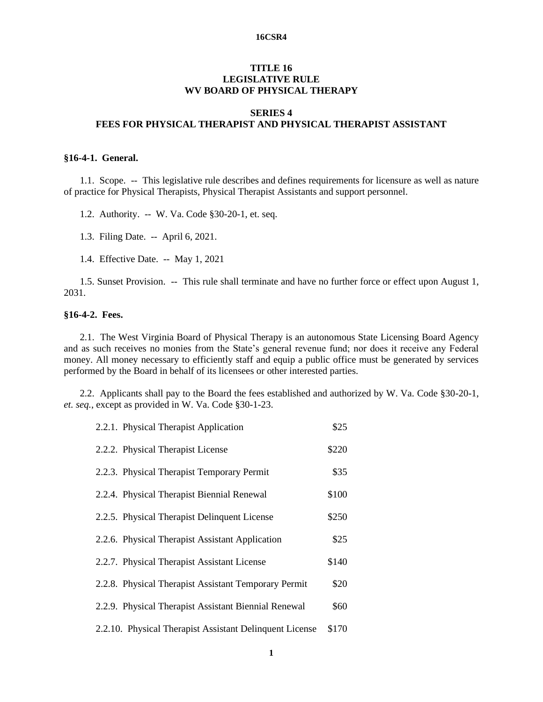#### **16CSR4**

### **TITLE 16 LEGISLATIVE RULE WV BOARD OF PHYSICAL THERAPY**

# **SERIES 4 FEES FOR PHYSICAL THERAPIST AND PHYSICAL THERAPIST ASSISTANT**

#### **§16-4-1. General.**

1.1. Scope. -- This legislative rule describes and defines requirements for licensure as well as nature of practice for Physical Therapists, Physical Therapist Assistants and support personnel.

1.2. Authority. -- W. Va. Code §30-20-1, et. seq.

1.3. Filing Date. -- April 6, 2021.

1.4. Effective Date. -- May 1, 2021

1.5. Sunset Provision. -- This rule shall terminate and have no further force or effect upon August 1, 2031.

## **§16-4-2. Fees.**

2.1. The West Virginia Board of Physical Therapy is an autonomous State Licensing Board Agency and as such receives no monies from the State's general revenue fund; nor does it receive any Federal money. All money necessary to efficiently staff and equip a public office must be generated by services performed by the Board in behalf of its licensees or other interested parties.

2.2. Applicants shall pay to the Board the fees established and authorized by W. Va. Code §30-20-1, *et. seq.*, except as provided in W. Va. Code §30-1-23.

| 2.2.1. Physical Therapist Application                   | \$25  |
|---------------------------------------------------------|-------|
| 2.2.2. Physical Therapist License                       | \$220 |
| 2.2.3. Physical Therapist Temporary Permit              | \$35  |
| 2.2.4. Physical Therapist Biennial Renewal              | \$100 |
| 2.2.5. Physical Therapist Delinquent License            | \$250 |
| 2.2.6. Physical Therapist Assistant Application         | \$25  |
| 2.2.7. Physical Therapist Assistant License             | \$140 |
| 2.2.8. Physical Therapist Assistant Temporary Permit    | \$20  |
| 2.2.9. Physical Therapist Assistant Biennial Renewal    | \$60  |
| 2.2.10. Physical Therapist Assistant Delinquent License | \$170 |